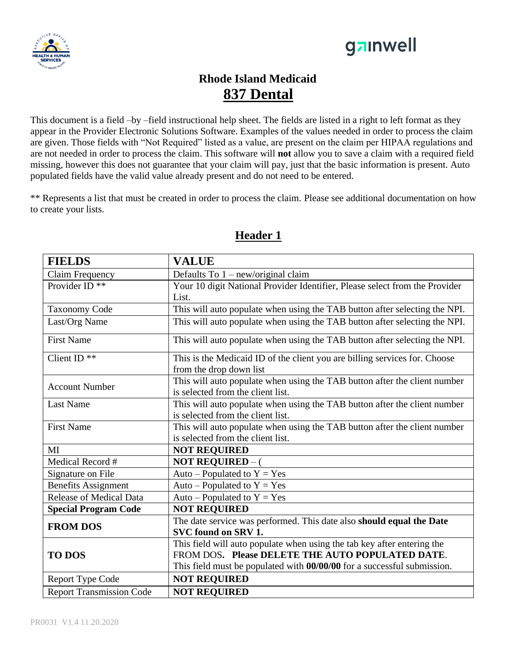



# **Rhode Island Medicaid 837 Dental**

This document is a field –by –field instructional help sheet. The fields are listed in a right to left format as they appear in the Provider Electronic Solutions Software. Examples of the values needed in order to process the claim are given. Those fields with "Not Required" listed as a value, are present on the claim per HIPAA regulations and are not needed in order to process the claim. This software will **not** allow you to save a claim with a required field missing, however this does not guarantee that your claim will pay, just that the basic information is present. Auto populated fields have the valid value already present and do not need to be entered.

\*\* Represents a list that must be created in order to process the claim. Please see additional documentation on how to create your lists.

| <b>FIELDS</b>                   | <b>VALUE</b>                                                                |
|---------------------------------|-----------------------------------------------------------------------------|
| Claim Frequency                 | Defaults To 1 - new/original claim                                          |
| Provider ID <sup>**</sup>       | Your 10 digit National Provider Identifier, Please select from the Provider |
|                                 | List.                                                                       |
| <b>Taxonomy Code</b>            | This will auto populate when using the TAB button after selecting the NPI.  |
| Last/Org Name                   | This will auto populate when using the TAB button after selecting the NPI.  |
| <b>First Name</b>               | This will auto populate when using the TAB button after selecting the NPI.  |
| Client ID <sup>**</sup>         | This is the Medicaid ID of the client you are billing services for. Choose  |
|                                 | from the drop down list                                                     |
| <b>Account Number</b>           | This will auto populate when using the TAB button after the client number   |
|                                 | is selected from the client list.                                           |
| <b>Last Name</b>                | This will auto populate when using the TAB button after the client number   |
|                                 | is selected from the client list.                                           |
| <b>First Name</b>               | This will auto populate when using the TAB button after the client number   |
|                                 | is selected from the client list.                                           |
| MI                              | <b>NOT REQUIRED</b>                                                         |
| Medical Record #                | <b>NOT REQUIRED – (</b>                                                     |
| Signature on File               | Auto – Populated to $Y = Yes$                                               |
| <b>Benefits Assignment</b>      | Auto – Populated to $Y = Yes$                                               |
| <b>Release of Medical Data</b>  | Auto – Populated to $Y = Yes$                                               |
| <b>Special Program Code</b>     | <b>NOT REQUIRED</b>                                                         |
| <b>FROM DOS</b>                 | The date service was performed. This date also should equal the Date        |
|                                 | SVC found on SRV 1.                                                         |
| <b>TO DOS</b>                   | This field will auto populate when using the tab key after entering the     |
|                                 | FROM DOS. Please DELETE THE AUTO POPULATED DATE.                            |
|                                 | This field must be populated with 00/00/00 for a successful submission.     |
| <b>Report Type Code</b>         | <b>NOT REQUIRED</b>                                                         |
| <b>Report Transmission Code</b> | <b>NOT REQUIRED</b>                                                         |

#### **Header 1**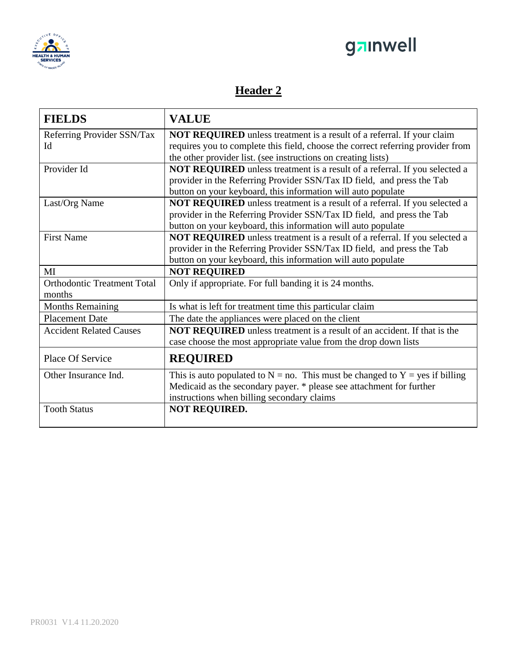



## **Header 2**

| <b>FIELDS</b>                      | <b>VALUE</b>                                                                      |
|------------------------------------|-----------------------------------------------------------------------------------|
| Referring Provider SSN/Tax         | NOT REQUIRED unless treatment is a result of a referral. If your claim            |
| Id                                 | requires you to complete this field, choose the correct referring provider from   |
|                                    | the other provider list. (see instructions on creating lists)                     |
| Provider Id                        | NOT REQUIRED unless treatment is a result of a referral. If you selected a        |
|                                    | provider in the Referring Provider SSN/Tax ID field, and press the Tab            |
|                                    | button on your keyboard, this information will auto populate                      |
| Last/Org Name                      | NOT REQUIRED unless treatment is a result of a referral. If you selected a        |
|                                    | provider in the Referring Provider SSN/Tax ID field, and press the Tab            |
|                                    | button on your keyboard, this information will auto populate                      |
| <b>First Name</b>                  | NOT REQUIRED unless treatment is a result of a referral. If you selected a        |
|                                    | provider in the Referring Provider SSN/Tax ID field, and press the Tab            |
|                                    | button on your keyboard, this information will auto populate                      |
| MI                                 | <b>NOT REQUIRED</b>                                                               |
| <b>Orthodontic Treatment Total</b> | Only if appropriate. For full banding it is 24 months.                            |
| months                             |                                                                                   |
|                                    |                                                                                   |
| <b>Months Remaining</b>            | Is what is left for treatment time this particular claim                          |
| <b>Placement Date</b>              | The date the appliances were placed on the client                                 |
| <b>Accident Related Causes</b>     | <b>NOT REQUIRED</b> unless treatment is a result of an accident. If that is the   |
|                                    | case choose the most appropriate value from the drop down lists                   |
| Place Of Service                   | <b>REQUIRED</b>                                                                   |
| Other Insurance Ind.               | This is auto populated to $N = no$ . This must be changed to $Y = yes$ if billing |
|                                    | Medicaid as the secondary payer. * please see attachment for further              |
|                                    | instructions when billing secondary claims                                        |
| <b>Tooth Status</b>                | <b>NOT REQUIRED.</b>                                                              |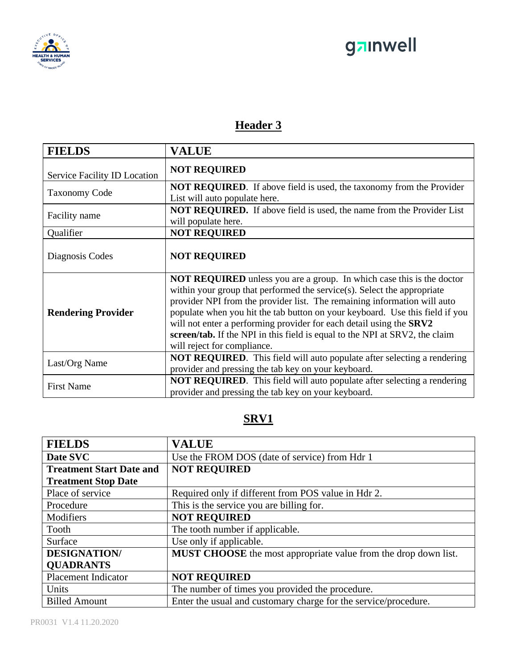



## **Header 3**

| <b>FIELDS</b>                | <b>VALUE</b>                                                                                                                                                                                                                                                                                                                                                                                                                                                                                             |
|------------------------------|----------------------------------------------------------------------------------------------------------------------------------------------------------------------------------------------------------------------------------------------------------------------------------------------------------------------------------------------------------------------------------------------------------------------------------------------------------------------------------------------------------|
| Service Facility ID Location | <b>NOT REQUIRED</b>                                                                                                                                                                                                                                                                                                                                                                                                                                                                                      |
| <b>Taxonomy Code</b>         | <b>NOT REQUIRED.</b> If above field is used, the taxonomy from the Provider<br>List will auto populate here.                                                                                                                                                                                                                                                                                                                                                                                             |
| Facility name                | <b>NOT REQUIRED.</b> If above field is used, the name from the Provider List<br>will populate here.                                                                                                                                                                                                                                                                                                                                                                                                      |
| Qualifier                    | <b>NOT REQUIRED</b>                                                                                                                                                                                                                                                                                                                                                                                                                                                                                      |
| Diagnosis Codes              | <b>NOT REQUIRED</b>                                                                                                                                                                                                                                                                                                                                                                                                                                                                                      |
| <b>Rendering Provider</b>    | <b>NOT REQUIRED</b> unless you are a group. In which case this is the doctor<br>within your group that performed the service(s). Select the appropriate<br>provider NPI from the provider list. The remaining information will auto<br>populate when you hit the tab button on your keyboard. Use this field if you<br>will not enter a performing provider for each detail using the SRV2<br>screen/tab. If the NPI in this field is equal to the NPI at SRV2, the claim<br>will reject for compliance. |
| Last/Org Name                | <b>NOT REQUIRED.</b> This field will auto populate after selecting a rendering<br>provider and pressing the tab key on your keyboard.                                                                                                                                                                                                                                                                                                                                                                    |
| <b>First Name</b>            | <b>NOT REQUIRED.</b> This field will auto populate after selecting a rendering<br>provider and pressing the tab key on your keyboard.                                                                                                                                                                                                                                                                                                                                                                    |

### **SRV1**

| <b>FIELDS</b>                   | <b>VALUE</b>                                                    |
|---------------------------------|-----------------------------------------------------------------|
| Date SVC                        | Use the FROM DOS (date of service) from Hdr 1                   |
| <b>Treatment Start Date and</b> | <b>NOT REQUIRED</b>                                             |
| <b>Treatment Stop Date</b>      |                                                                 |
| Place of service                | Required only if different from POS value in Hdr 2.             |
| Procedure                       | This is the service you are billing for.                        |
| Modifiers                       | <b>NOT REQUIRED</b>                                             |
| Tooth                           | The tooth number if applicable.                                 |
| Surface                         | Use only if applicable.                                         |
| <b>DESIGNATION/</b>             | MUST CHOOSE the most appropriate value from the drop down list. |
| <b>QUADRANTS</b>                |                                                                 |
| <b>Placement Indicator</b>      | <b>NOT REQUIRED</b>                                             |
| Units                           | The number of times you provided the procedure.                 |
| <b>Billed Amount</b>            | Enter the usual and customary charge for the service/procedure. |